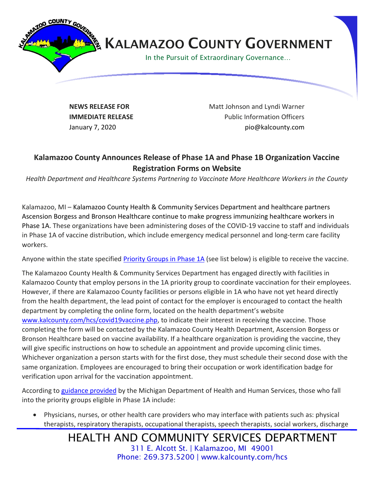

**NEWS RELEASE FOR IMMEDIATE RELEASE**

Matt Johnson and Lyndi Warner Public Information Officers January 7, 2020 **pio@kalcounty.com** 

## **Kalamazoo County Announces Release of Phase 1A and Phase 1B Organization Vaccine Registration Forms on Website**

*Health Department and Healthcare Systems Partnering to Vaccinate More Healthcare Workers in the County*

Kalamazoo, MI – Kalamazoo County Health & Community Services Department and healthcare partners Ascension Borgess and Bronson Healthcare continue to make progress immunizing healthcare workers in Phase 1A. These organizations have been administering doses of the COVID-19 vaccine to staff and individuals in Phase 1A of vaccine distribution, which include emergency medical personnel and long-term care facility workers.

Anyone within the state specified [Priority Groups in Phase 1A](https://www.kalcounty.com/hcs/covid19vaccine.php) (see list below) is eligible to receive the vaccine.

The Kalamazoo County Health & Community Services Department has engaged directly with facilities in Kalamazoo County that employ persons in the 1A priority group to coordinate vaccination for their employees. However, if there are Kalamazoo County facilities or persons eligible in 1A who have not yet heard directly from the health department, the lead point of contact for the employer is encouraged to contact the health department by completing the online form, located on the health department's website [www.kalcounty.com/hcs/covid19vaccine.php,](http://www.kalcounty.com/hcs/covid19vaccine.php) to indicate their interest in receiving the vaccine. Those completing the form will be contacted by the Kalamazoo County Health Department, Ascension Borgess or Bronson Healthcare based on vaccine availability. If a healthcare organization is providing the vaccine, they will give specific instructions on how to schedule an appointment and provide upcoming clinic times. Whichever organization a person starts with for the first dose, they must schedule their second dose with the same organization. Employees are encouraged to bring their occupation or work identification badge for verification upon arrival for the vaccination appointment.

According to [guidance provided](https://www.michigan.gov/documents/coronavirus/MI_COVID-19_Vaccination_Prioritization_Guidance_710349_7.pdf) by the Michigan Department of Health and Human Services, those who fall into the priority groups eligible in Phase 1A include:

• Physicians, nurses, or other health care providers who may interface with patients such as: physical therapists, respiratory therapists, occupational therapists, speech therapists, social workers, discharge

> HEALTH AND COMMUNITY SERVICES DEPARTMENT 311 E. Alcott St. | Kalamazoo, MI 49001 Phone: 269.373.5200 | www.kalcounty.com/hcs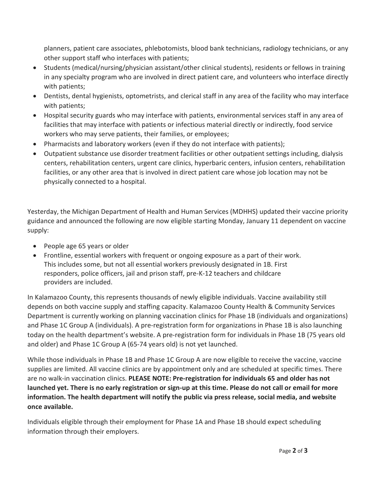planners, patient care associates, phlebotomists, blood bank technicians, radiology technicians, or any other support staff who interfaces with patients;

- Students (medical/nursing/physician assistant/other clinical students), residents or fellows in training in any specialty program who are involved in direct patient care, and volunteers who interface directly with patients;
- Dentists, dental hygienists, optometrists, and clerical staff in any area of the facility who may interface with patients;
- Hospital security guards who may interface with patients, environmental services staff in any area of facilities that may interface with patients or infectious material directly or indirectly, food service workers who may serve patients, their families, or employees;
- Pharmacists and laboratory workers (even if they do not interface with patients);
- Outpatient substance use disorder treatment facilities or other outpatient settings including, dialysis centers, rehabilitation centers, urgent care clinics, hyperbaric centers, infusion centers, rehabilitation facilities, or any other area that is involved in direct patient care whose job location may not be physically connected to a hospital.

Yesterday, the Michigan Department of Health and Human Services (MDHHS) updated their vaccine priority guidance and announced the following are now eligible starting Monday, January 11 dependent on vaccine supply:

- People age 65 years or older
- Frontline, essential workers with frequent or ongoing exposure as a part of their work. This includes some, but not all essential workers previously designated in 1B. First responders, police officers, jail and prison staff, pre-K-12 teachers and childcare providers are included.

In Kalamazoo County, this represents thousands of newly eligible individuals. Vaccine availability still depends on both vaccine supply and staffing capacity. Kalamazoo County Health & Community Services Department is currently working on planning vaccination clinics for Phase 1B (individuals and organizations) and Phase 1C Group A (individuals). A pre-registration form for organizations in Phase 1B is also launching today on the health department's website. A pre-registration form for individuals in Phase 1B (75 years old and older) and Phase 1C Group A (65-74 years old) is not yet launched.

While those individuals in Phase 1B and Phase 1C Group A are now eligible to receive the vaccine, vaccine supplies are limited. All vaccine clinics are by appointment only and are scheduled at specific times. There are no walk-in vaccination clinics. **PLEASE NOTE: Pre-registration for individuals 65 and older has not launched yet. There is no early registration or sign-up at this time. Please do not call or email for more information. The health department will notify the public via press release, social media, and website once available.**

Individuals eligible through their employment for Phase 1A and Phase 1B should expect scheduling information through their employers.